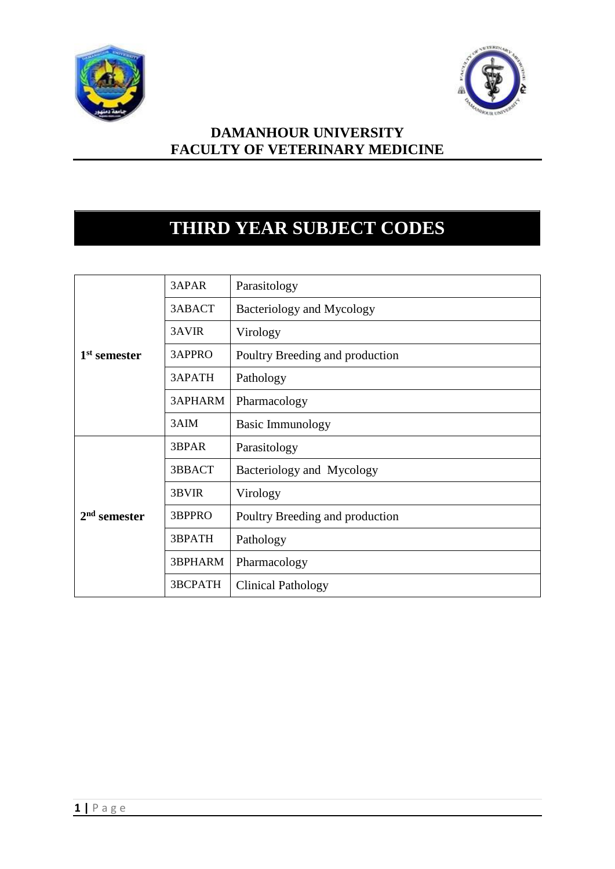



## **DAMANHOUR UNIVERSITY FACULTY OF VETERINARY MEDICINE**

## **THIRD YEAR SUBJECT CODES**

|                          | 3APAR          | Parasitology                    |  |
|--------------------------|----------------|---------------------------------|--|
|                          | 3ABACT         | Bacteriology and Mycology       |  |
|                          | 3AVIR          | Virology                        |  |
| 1 <sup>st</sup> semester | 3APPRO         | Poultry Breeding and production |  |
|                          | 3APATH         | Pathology                       |  |
|                          | 3APHARM        | Pharmacology                    |  |
|                          | 3AIM           | <b>Basic Immunology</b>         |  |
|                          | 3BPAR          | Parasitology                    |  |
|                          | 3BBACT         | Bacteriology and Mycology       |  |
|                          | 3BVIR          | Virology                        |  |
| $2nd$ semester           | 3BPPRO         | Poultry Breeding and production |  |
|                          | 3BPATH         | Pathology                       |  |
|                          | 3BPHARM        | Pharmacology                    |  |
|                          | <b>3BCPATH</b> | <b>Clinical Pathology</b>       |  |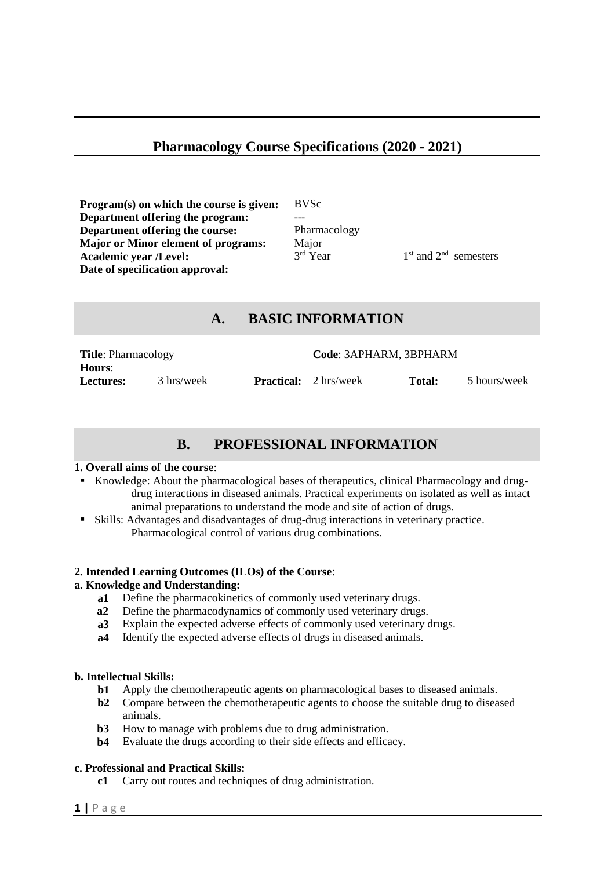## **Pharmacology Course Specifications (2020 - 2021)**

**Program(s) on which the course is given:** BVSc **Department offering the program: Department offering the course:** Pharmacology **Major or Minor element of programs:** Major **Academic year /Level:** 3 **Date of specification approval:**

 $3<sup>rd</sup>$  Year

 $1<sup>st</sup>$  and  $2<sup>nd</sup>$  semesters

### **A. BASIC INFORMATION**

| <b>Title:</b> Pharmacology |            |  | Code: 3APHARM, 3BPHARM       |               |              |
|----------------------------|------------|--|------------------------------|---------------|--------------|
| Hours:                     |            |  |                              |               |              |
| <b>Lectures:</b>           | 3 hrs/week |  | <b>Practical:</b> 2 hrs/week | <b>Total:</b> | 5 hours/week |

## **B. PROFESSIONAL INFORMATION**

#### **1. Overall aims of the course**:

- Knowledge: About the pharmacological bases of therapeutics, clinical Pharmacology and drugdrug interactions in diseased animals. Practical experiments on isolated as well as intact animal preparations to understand the mode and site of action of drugs.
- Skills: Advantages and disadvantages of drug-drug interactions in veterinary practice. Pharmacological control of various drug combinations.

#### **2. Intended Learning Outcomes (ILOs) of the Course**:

#### **a. Knowledge and Understanding:**

- **a1** Define the pharmacokinetics of commonly used veterinary drugs.
- **a2** Define the pharmacodynamics of commonly used veterinary drugs.
- **a3** Explain the expected adverse effects of commonly used veterinary drugs.
- **a4** Identify the expected adverse effects of drugs in diseased animals.

#### **b. Intellectual Skills:**

- **b1** Apply the chemotherapeutic agents on pharmacological bases to diseased animals.
- **b2** Compare between the chemotherapeutic agents to choose the suitable drug to diseased animals.
- **b3** How to manage with problems due to drug administration.
- **b4**  Evaluate the drugs according to their side effects and efficacy.

#### **c. Professional and Practical Skills:**

**c1** Carry out routes and techniques of drug administration.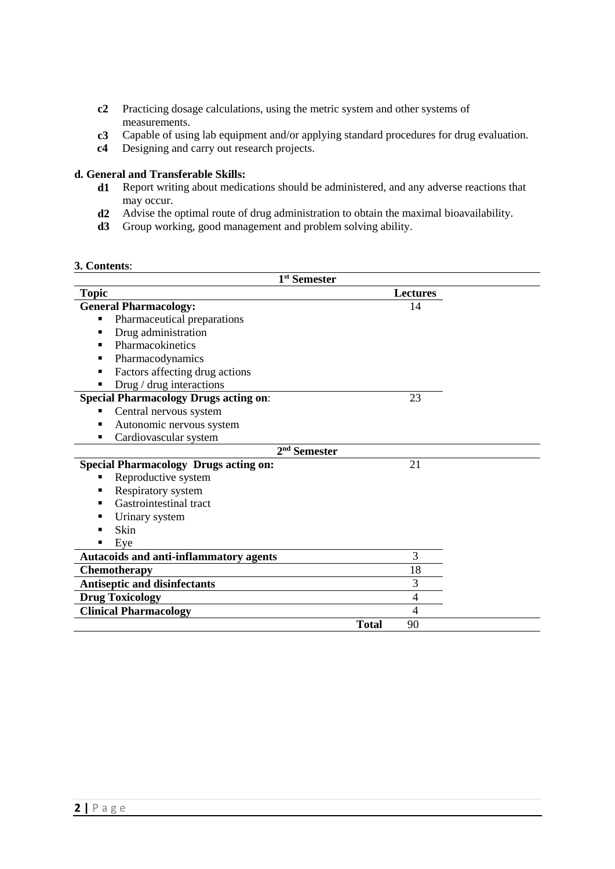- **c2** Practicing dosage calculations, using the metric system and other systems of measurements.
- **c3** Capable of using lab equipment and/or applying standard procedures for drug evaluation.
- **c4** Designing and carry out research projects.

# **d. General and Transferable Skills:**

- Report writing about medications should be administered, and any adverse reactions that may occur.
- **d2** Advise the optimal route of drug administration to obtain the maximal bioavailability.
- **d3** Group working, good management and problem solving ability.

#### **3. Contents**:

| 1 <sup>st</sup> Semester                         |              |                 |  |
|--------------------------------------------------|--------------|-----------------|--|
| <b>Topic</b>                                     |              | <b>Lectures</b> |  |
| <b>General Pharmacology:</b>                     |              | 14              |  |
| Pharmaceutical preparations<br>$\blacksquare$    |              |                 |  |
| Drug administration<br>п                         |              |                 |  |
| Pharmacokinetics<br>٠                            |              |                 |  |
| Pharmacodynamics<br>٠                            |              |                 |  |
| Factors affecting drug actions<br>$\blacksquare$ |              |                 |  |
| Drug / drug interactions                         |              |                 |  |
| <b>Special Pharmacology Drugs acting on:</b>     |              | 23              |  |
| Central nervous system<br>٠                      |              |                 |  |
| Autonomic nervous system<br>$\blacksquare$       |              |                 |  |
| Cardiovascular system<br>٠                       |              |                 |  |
| 2 <sup>nd</sup> Semester                         |              |                 |  |
| <b>Special Pharmacology Drugs acting on:</b>     |              | 21              |  |
| Reproductive system<br>٠                         |              |                 |  |
| Respiratory system<br>$\blacksquare$             |              |                 |  |
| Gastrointestinal tract<br>٠                      |              |                 |  |
| Urinary system                                   |              |                 |  |
| Skin<br>$\blacksquare$                           |              |                 |  |
| Eye<br>■                                         |              |                 |  |
| <b>Autacoids and anti-inflammatory agents</b>    |              | 3               |  |
| <b>Chemotherapy</b>                              |              | 18              |  |
| <b>Antiseptic and disinfectants</b>              |              | 3               |  |
| <b>Drug Toxicology</b>                           |              | $\overline{4}$  |  |
| <b>Clinical Pharmacology</b>                     |              | 4               |  |
|                                                  | <b>Total</b> | 90              |  |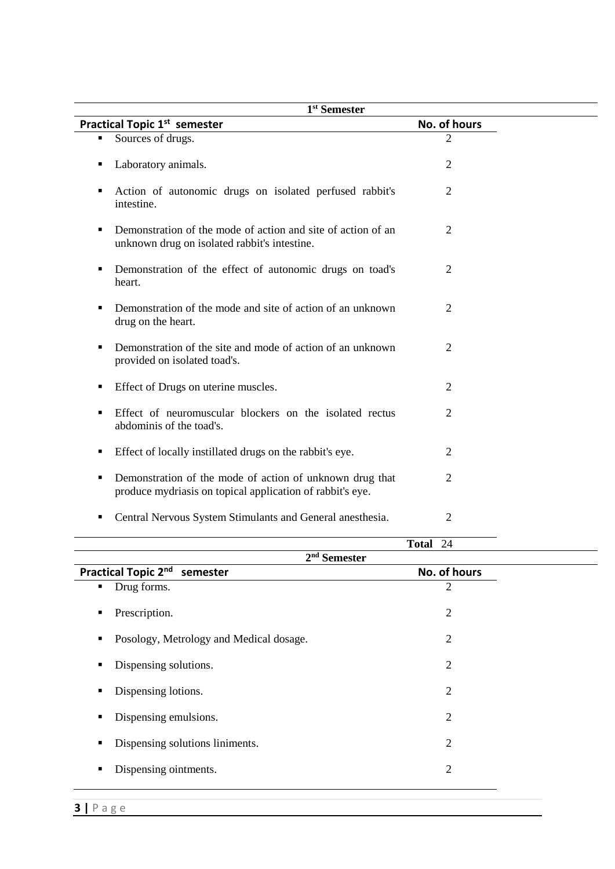| 1 <sup>st</sup> Semester                                                                                                                |                    |  |  |  |
|-----------------------------------------------------------------------------------------------------------------------------------------|--------------------|--|--|--|
| <b>Practical Topic 1st semester</b>                                                                                                     | No. of hours       |  |  |  |
| Sources of drugs.<br>$\blacksquare$                                                                                                     | $\overline{2}$     |  |  |  |
| Laboratory animals.<br>п                                                                                                                | $\overline{2}$     |  |  |  |
| Action of autonomic drugs on isolated perfused rabbit's<br>п<br>intestine.                                                              | 2                  |  |  |  |
| Demonstration of the mode of action and site of action of an<br>п<br>unknown drug on isolated rabbit's intestine.                       | $\overline{2}$     |  |  |  |
| Demonstration of the effect of autonomic drugs on toad's<br>п<br>heart.                                                                 | 2                  |  |  |  |
| Demonstration of the mode and site of action of an unknown<br>п<br>drug on the heart.                                                   | $\overline{2}$     |  |  |  |
| Demonstration of the site and mode of action of an unknown<br>$\blacksquare$<br>provided on isolated toad's.                            | 2                  |  |  |  |
| Effect of Drugs on uterine muscles.<br>п                                                                                                | $\overline{2}$     |  |  |  |
| Effect of neuromuscular blockers on the isolated rectus<br>п<br>abdominis of the toad's.                                                | 2                  |  |  |  |
| Effect of locally instillated drugs on the rabbit's eye.<br>п                                                                           | 2                  |  |  |  |
| Demonstration of the mode of action of unknown drug that<br>$\blacksquare$<br>produce mydriasis on topical application of rabbit's eye. | $\overline{2}$     |  |  |  |
| Central Nervous System Stimulants and General anesthesia.<br>п                                                                          | $\overline{2}$     |  |  |  |
|                                                                                                                                         | 24<br><b>Total</b> |  |  |  |

| $100u1 - 27$                                    |                |  |  |  |
|-------------------------------------------------|----------------|--|--|--|
| $2nd$ Semester                                  |                |  |  |  |
| Practical Topic 2nd<br>No. of hours<br>semester |                |  |  |  |
| Drug forms.<br>٠                                | 2              |  |  |  |
| Prescription.<br>٠                              | $\overline{2}$ |  |  |  |
| Posology, Metrology and Medical dosage.<br>٠    | $\overline{2}$ |  |  |  |
| Dispensing solutions.<br>٠                      | 2              |  |  |  |
| Dispensing lotions.<br>٠                        | $\overline{2}$ |  |  |  |
| Dispensing emulsions.<br>٠                      | $\overline{2}$ |  |  |  |
| Dispensing solutions liniments.<br>п            | $\overline{2}$ |  |  |  |
| Dispensing ointments.<br>Е                      | $\overline{2}$ |  |  |  |
|                                                 |                |  |  |  |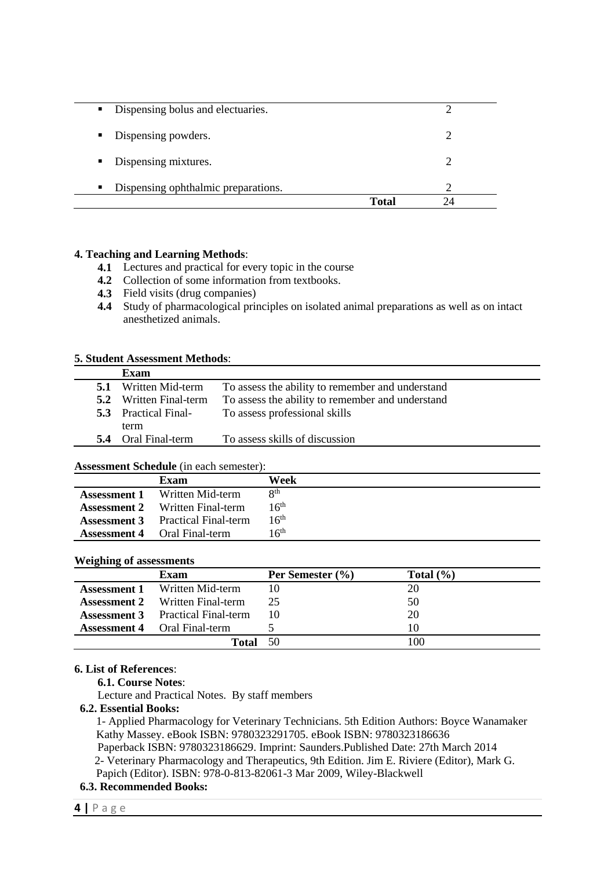| • Dispensing bolus and electuaries.                   |       |
|-------------------------------------------------------|-------|
| • Dispensing powders.                                 |       |
| • Dispensing mixtures.                                |       |
| Dispensing ophthalmic preparations.<br>$\blacksquare$ |       |
|                                                       | Total |

#### **4. Teaching and Learning Methods**:

- **4.1** Lectures and practical for every topic in the course
- **4.2** Collection of some information from textbooks.
- **4.3** Field visits (drug companies)
- **4.4** Study of pharmacological principles on isolated animal preparations as well as on intact anesthetized animals.

#### **5. Student Assessment Methods**:

|     | Exam                          |                                                  |
|-----|-------------------------------|--------------------------------------------------|
| 5.1 | Written Mid-term              | To assess the ability to remember and understand |
|     | <b>5.2</b> Written Final-term | To assess the ability to remember and understand |
|     | <b>5.3</b> Practical Final-   | To assess professional skills                    |
|     | term                          |                                                  |
| 5.4 | Oral Final-term               | To assess skills of discussion                   |

#### **Assessment Schedule** (in each semester):

| Tropolitically interfered the cach behind to his |                             |                          |  |  |
|--------------------------------------------------|-----------------------------|--------------------------|--|--|
|                                                  | Exam                        | Week                     |  |  |
| <b>Assessment 1</b>                              | Written Mid-term            | $\mathsf{R}^{\text{th}}$ |  |  |
| <b>Assessment 2</b>                              | Written Final-term          | 16 <sup>th</sup>         |  |  |
| <b>Assessment 3</b>                              | <b>Practical Final-term</b> | $16^{\text{th}}$         |  |  |
| <b>Assessment 4</b>                              | Oral Final-term             | 16 <sup>th</sup>         |  |  |
|                                                  |                             |                          |  |  |

#### **Weighing of assessments**

| $\sim$<br>$\bullet$ | Exam                                     | Per Semester $(\% )$ | Total $(\% )$ |
|---------------------|------------------------------------------|----------------------|---------------|
|                     | <b>Assessment 1</b> Written Mid-term     | 10                   | 20            |
|                     | <b>Assessment 2</b> Written Final-term   | 25                   | 50            |
|                     | <b>Assessment 3</b> Practical Final-term | 10                   | 20            |
|                     | <b>Assessment 4</b> Oral Final-term      |                      |               |
|                     | Total                                    | 50                   | 100           |

#### **6. List of References**:

**6.1. Course Notes**:

Lecture and Practical Notes. By staff members

#### **6.2. Essential Books:**

1- Applied Pharmacology for Veterinary Technicians. 5th Edition Authors: Boyce Wanamaker Kathy Massey. eBook ISBN: 9780323291705. eBook ISBN: 9780323186636 Paperback ISBN: 9780323186629. Imprint: Saunders.Published Date: 27th March 2014

 2- Veterinary Pharmacology and Therapeutics, 9th Edition. Jim E. Riviere (Editor), Mark G. Papich (Editor). ISBN: 978-0-813-82061-3 Mar 2009, Wiley-Blackwell

#### **6.3. Recommended Books:**